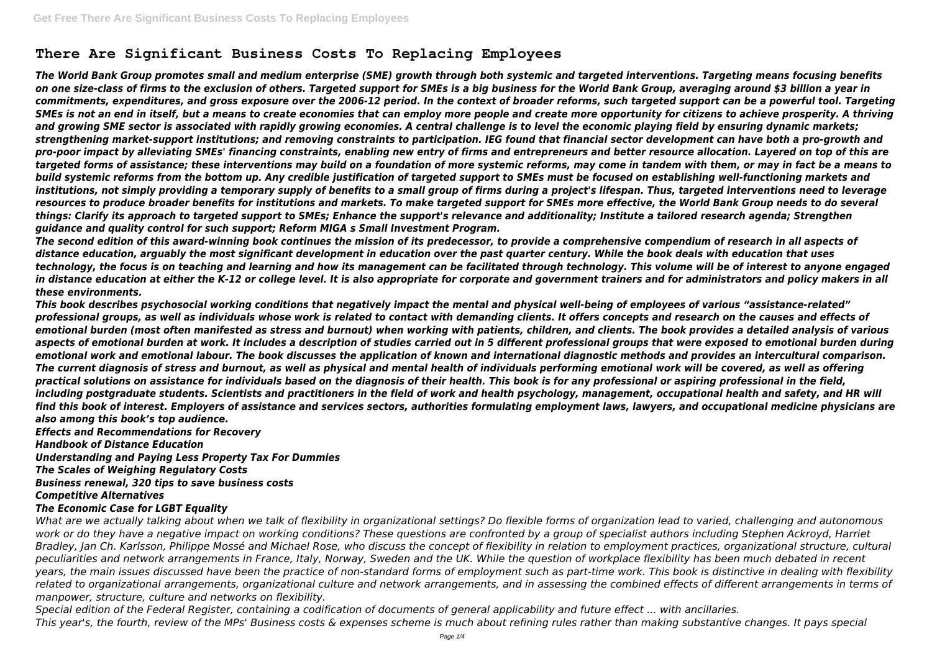# **There Are Significant Business Costs To Replacing Employees**

*The World Bank Group promotes small and medium enterprise (SME) growth through both systemic and targeted interventions. Targeting means focusing benefits on one size-class of firms to the exclusion of others. Targeted support for SMEs is a big business for the World Bank Group, averaging around \$3 billion a year in commitments, expenditures, and gross exposure over the 2006-12 period. In the context of broader reforms, such targeted support can be a powerful tool. Targeting SMEs is not an end in itself, but a means to create economies that can employ more people and create more opportunity for citizens to achieve prosperity. A thriving and growing SME sector is associated with rapidly growing economies. A central challenge is to level the economic playing field by ensuring dynamic markets; strengthening market-support institutions; and removing constraints to participation. IEG found that financial sector development can have both a pro-growth and pro-poor impact by alleviating SMEs' financing constraints, enabling new entry of firms and entrepreneurs and better resource allocation. Layered on top of this are targeted forms of assistance; these interventions may build on a foundation of more systemic reforms, may come in tandem with them, or may in fact be a means to build systemic reforms from the bottom up. Any credible justification of targeted support to SMEs must be focused on establishing well-functioning markets and institutions, not simply providing a temporary supply of benefits to a small group of firms during a project's lifespan. Thus, targeted interventions need to leverage resources to produce broader benefits for institutions and markets. To make targeted support for SMEs more effective, the World Bank Group needs to do several things: Clarify its approach to targeted support to SMEs; Enhance the support's relevance and additionality; Institute a tailored research agenda; Strengthen guidance and quality control for such support; Reform MIGA s Small Investment Program.*

*The second edition of this award-winning book continues the mission of its predecessor, to provide a comprehensive compendium of research in all aspects of distance education, arguably the most significant development in education over the past quarter century. While the book deals with education that uses technology, the focus is on teaching and learning and how its management can be facilitated through technology. This volume will be of interest to anyone engaged in distance education at either the K-12 or college level. It is also appropriate for corporate and government trainers and for administrators and policy makers in all these environments.*

*This book describes psychosocial working conditions that negatively impact the mental and physical well-being of employees of various "assistance-related" professional groups, as well as individuals whose work is related to contact with demanding clients. It offers concepts and research on the causes and effects of emotional burden (most often manifested as stress and burnout) when working with patients, children, and clients. The book provides a detailed analysis of various aspects of emotional burden at work. It includes a description of studies carried out in 5 different professional groups that were exposed to emotional burden during emotional work and emotional labour. The book discusses the application of known and international diagnostic methods and provides an intercultural comparison. The current diagnosis of stress and burnout, as well as physical and mental health of individuals performing emotional work will be covered, as well as offering practical solutions on assistance for individuals based on the diagnosis of their health. This book is for any professional or aspiring professional in the field,* including postgraduate students. Scientists and practitioners in the field of work and health psychology, management, occupational health and safety, and HR will *find this book of interest. Employers of assistance and services sectors, authorities formulating employment laws, lawyers, and occupational medicine physicians are also among this book's top audience.*

*Effects and Recommendations for Recovery*

*Handbook of Distance Education*

*Understanding and Paying Less Property Tax For Dummies*

*The Scales of Weighing Regulatory Costs*

*Business renewal, 320 tips to save business costs*

*Competitive Alternatives*

### *The Economic Case for LGBT Equality*

*What are we actually talking about when we talk of flexibility in organizational settings? Do flexible forms of organization lead to varied, challenging and autonomous* work or do they have a negative impact on working conditions? These questions are confronted by a group of specialist authors including Stephen Ackroyd, Harriet *Bradley, Jan Ch. Karlsson, Philippe Mossé and Michael Rose, who discuss the concept of flexibility in relation to employment practices, organizational structure, cultural peculiarities and network arrangements in France, Italy, Norway, Sweden and the UK. While the question of workplace flexibility has been much debated in recent years, the main issues discussed have been the practice of non-standard forms of employment such as part-time work. This book is distinctive in dealing with flexibility related to organizational arrangements, organizational culture and network arrangements, and in assessing the combined effects of different arrangements in terms of manpower, structure, culture and networks on flexibility.*

*Special edition of the Federal Register, containing a codification of documents of general applicability and future effect ... with ancillaries. This year's, the fourth, review of the MPs' Business costs & expenses scheme is much about refining rules rather than making substantive changes. It pays special*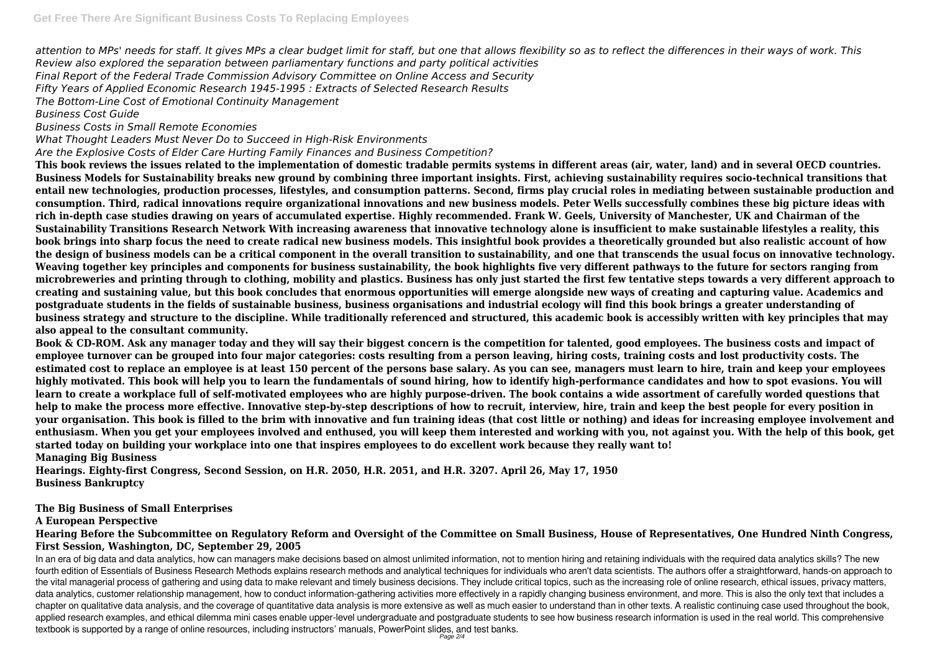*attention to MPs' needs for staff. It gives MPs a clear budget limit for staff, but one that allows flexibility so as to reflect the differences in their ways of work. This Review also explored the separation between parliamentary functions and party political activities Final Report of the Federal Trade Commission Advisory Committee on Online Access and Security Fifty Years of Applied Economic Research 1945-1995 : Extracts of Selected Research Results The Bottom-Line Cost of Emotional Continuity Management*

*Business Cost Guide*

# *Business Costs in Small Remote Economies*

*What Thought Leaders Must Never Do to Succeed in High-Risk Environments*

*Are the Explosive Costs of Elder Care Hurting Family Finances and Business Competition?*

**This book reviews the issues related to the implementation of domestic tradable permits systems in different areas (air, water, land) and in several OECD countries. Business Models for Sustainability breaks new ground by combining three important insights. First, achieving sustainability requires socio-technical transitions that entail new technologies, production processes, lifestyles, and consumption patterns. Second, firms play crucial roles in mediating between sustainable production and consumption. Third, radical innovations require organizational innovations and new business models. Peter Wells successfully combines these big picture ideas with rich in-depth case studies drawing on years of accumulated expertise. Highly recommended. Frank W. Geels, University of Manchester, UK and Chairman of the Sustainability Transitions Research Network With increasing awareness that innovative technology alone is insufficient to make sustainable lifestyles a reality, this book brings into sharp focus the need to create radical new business models. This insightful book provides a theoretically grounded but also realistic account of how the design of business models can be a critical component in the overall transition to sustainability, and one that transcends the usual focus on innovative technology. Weaving together key principles and components for business sustainability, the book highlights five very different pathways to the future for sectors ranging from microbreweries and printing through to clothing, mobility and plastics. Business has only just started the first few tentative steps towards a very different approach to creating and sustaining value, but this book concludes that enormous opportunities will emerge alongside new ways of creating and capturing value. Academics and postgraduate students in the fields of sustainable business, business organisations and industrial ecology will find this book brings a greater understanding of business strategy and structure to the discipline. While traditionally referenced and structured, this academic book is accessibly written with key principles that may also appeal to the consultant community.**

In an era of big data and data analytics, how can managers make decisions based on almost unlimited information, not to mention hiring and retaining individuals with the required data analytics skills? The new fourth edition of Essentials of Business Research Methods explains research methods and analytical techniques for individuals who aren't data scientists. The authors offer a straightforward, hands-on approach to the vital managerial process of gathering and using data to make relevant and timely business decisions. They include critical topics, such as the increasing role of online research, ethical issues, privacy matters, data analytics, customer relationship management, how to conduct information-gathering activities more effectively in a rapidly changing business environment, and more. This is also the only text that includes a chapter on qualitative data analysis, and the coverage of quantitative data analysis is more extensive as well as much easier to understand than in other texts. A realistic continuing case used throughout the book, applied research examples, and ethical dilemma mini cases enable upper-level undergraduate and postgraduate students to see how business research information is used in the real world. This comprehensive textbook is supported by a range of online resources, including instructors' manuals, PowerPoint slides, and test banks.

**Book & CD-ROM. Ask any manager today and they will say their biggest concern is the competition for talented, good employees. The business costs and impact of employee turnover can be grouped into four major categories: costs resulting from a person leaving, hiring costs, training costs and lost productivity costs. The estimated cost to replace an employee is at least 150 percent of the persons base salary. As you can see, managers must learn to hire, train and keep your employees highly motivated. This book will help you to learn the fundamentals of sound hiring, how to identify high-performance candidates and how to spot evasions. You will learn to create a workplace full of self-motivated employees who are highly purpose-driven. The book contains a wide assortment of carefully worded questions that help to make the process more effective. Innovative step-by-step descriptions of how to recruit, interview, hire, train and keep the best people for every position in your organisation. This book is filled to the brim with innovative and fun training ideas (that cost little or nothing) and ideas for increasing employee involvement and enthusiasm. When you get your employees involved and enthused, you will keep them interested and working with you, not against you. With the help of this book, get started today on building your workplace into one that inspires employees to do excellent work because they really want to! Managing Big Business**

**Hearings. Eighty-first Congress, Second Session, on H.R. 2050, H.R. 2051, and H.R. 3207. April 26, May 17, 1950 Business Bankruptcy**

### **The Big Business of Small Enterprises**

### **A European Perspective**

# **Hearing Before the Subcommittee on Regulatory Reform and Oversight of the Committee on Small Business, House of Representatives, One Hundred Ninth Congress, First Session, Washington, DC, September 29, 2005**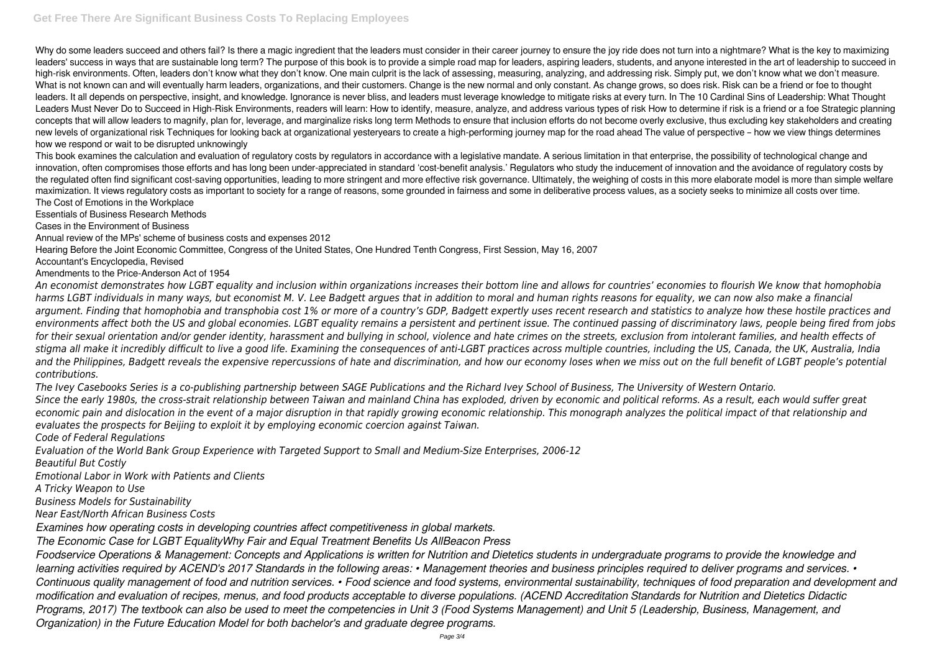Why do some leaders succeed and others fail? Is there a magic ingredient that the leaders must consider in their career journey to ensure the joy ride does not turn into a nightmare? What is the key to maximizing leaders' success in ways that are sustainable long term? The purpose of this book is to provide a simple road map for leaders, aspiring leaders, students, and anyone interested in the art of leadership to succeed in high-risk environments. Often, leaders don't know what they don't know. One main culprit is the lack of assessing, measuring, analyzing, and addressing risk. Simply put, we don't know what we don't measure. What is not known can and will eventually harm leaders, organizations, and their customers. Change is the new normal and only constant. As change grows, so does risk. Risk can be a friend or foe to thought leaders. It all depends on perspective, insight, and knowledge. Ignorance is never bliss, and leaders must leverage knowledge to mitigate risks at every turn. In The 10 Cardinal Sins of Leadership: What Thought Leaders Must Never Do to Succeed in High-Risk Environments, readers will learn: How to identify, measure, analyze, and address various types of risk How to determine if risk is a friend or a foe Strategic planning concepts that will allow leaders to magnify, plan for, leverage, and marginalize risks long term Methods to ensure that inclusion efforts do not become overly exclusive, thus excluding key stakeholders and creating new levels of organizational risk Techniques for looking back at organizational yesteryears to create a high-performing journey map for the road ahead The value of perspective – how we view things determines how we respond or wait to be disrupted unknowingly

This book examines the calculation and evaluation of regulatory costs by regulators in accordance with a legislative mandate. A serious limitation in that enterprise, the possibility of technological change and innovation, often compromises those efforts and has long been under-appreciated in standard 'cost-benefit analysis.' Regulators who study the inducement of innovation and the avoidance of regulatory costs by the regulated often find significant cost-saving opportunities, leading to more stringent and more effective risk governance. Ultimately, the weighing of costs in this more elaborate model is more than simple welfare maximization. It views regulatory costs as important to society for a range of reasons, some grounded in fairness and some in deliberative process values, as a society seeks to minimize all costs over time. The Cost of Emotions in the Workplace

Essentials of Business Research Methods

Cases in the Environment of Business

Annual review of the MPs' scheme of business costs and expenses 2012

Hearing Before the Joint Economic Committee, Congress of the United States, One Hundred Tenth Congress, First Session, May 16, 2007

Accountant's Encyclopedia, Revised

Amendments to the Price-Anderson Act of 1954

*An economist demonstrates how LGBT equality and inclusion within organizations increases their bottom line and allows for countries' economies to flourish We know that homophobia harms LGBT individuals in many ways, but economist M. V. Lee Badgett argues that in addition to moral and human rights reasons for equality, we can now also make a financial argument. Finding that homophobia and transphobia cost 1% or more of a country's GDP, Badgett expertly uses recent research and statistics to analyze how these hostile practices and environments affect both the US and global economies. LGBT equality remains a persistent and pertinent issue. The continued passing of discriminatory laws, people being fired from jobs for their sexual orientation and/or gender identity, harassment and bullying in school, violence and hate crimes on the streets, exclusion from intolerant families, and health effects of stigma all make it incredibly difficult to live a good life. Examining the consequences of anti-LGBT practices across multiple countries, including the US, Canada, the UK, Australia, India* and the Philippines, Badgett reveals the expensive repercussions of hate and discrimination, and how our economy loses when we miss out on the full benefit of LGBT people's potential *contributions.*

*The Ivey Casebooks Series is a co-publishing partnership between SAGE Publications and the Richard Ivey School of Business, The University of Western Ontario. Since the early 1980s, the cross-strait relationship between Taiwan and mainland China has exploded, driven by economic and political reforms. As a result, each would suffer great economic pain and dislocation in the event of a major disruption in that rapidly growing economic relationship. This monograph analyzes the political impact of that relationship and evaluates the prospects for Beijing to exploit it by employing economic coercion against Taiwan.*

*Code of Federal Regulations*

*Evaluation of the World Bank Group Experience with Targeted Support to Small and Medium-Size Enterprises, 2006-12 Beautiful But Costly*

*Emotional Labor in Work with Patients and Clients*

*A Tricky Weapon to Use*

*Business Models for Sustainability*

*Near East/North African Business Costs*

*Examines how operating costs in developing countries affect competitiveness in global markets.*

*The Economic Case for LGBT EqualityWhy Fair and Equal Treatment Benefits Us AllBeacon Press*

*Foodservice Operations & Management: Concepts and Applications is written for Nutrition and Dietetics students in undergraduate programs to provide the knowledge and learning activities required by ACEND's 2017 Standards in the following areas: • Management theories and business principles required to deliver programs and services. • Continuous quality management of food and nutrition services. • Food science and food systems, environmental sustainability, techniques of food preparation and development and modification and evaluation of recipes, menus, and food products acceptable to diverse populations. (ACEND Accreditation Standards for Nutrition and Dietetics Didactic Programs, 2017) The textbook can also be used to meet the competencies in Unit 3 (Food Systems Management) and Unit 5 (Leadership, Business, Management, and Organization) in the Future Education Model for both bachelor's and graduate degree programs.*